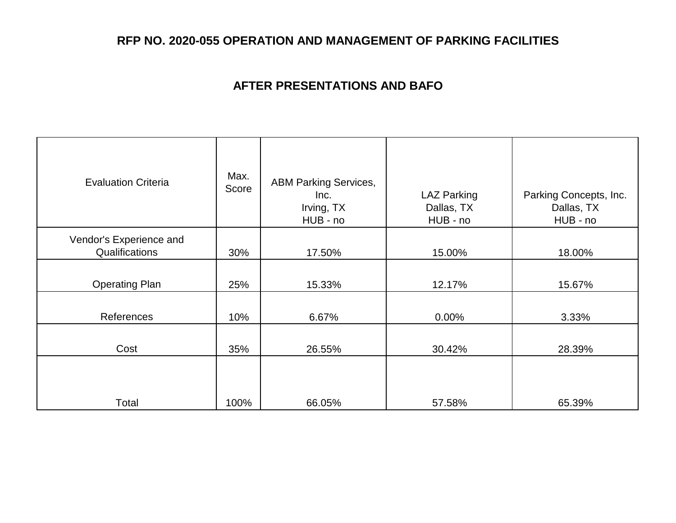## **AFTER PRESENTATIONS AND BAFO**

| <b>Evaluation Criteria</b>                | Max.<br>Score | <b>ABM Parking Services,</b>   |                                              |                                                  |
|-------------------------------------------|---------------|--------------------------------|----------------------------------------------|--------------------------------------------------|
|                                           |               | Inc.<br>Irving, TX<br>HUB - no | <b>LAZ Parking</b><br>Dallas, TX<br>HUB - no | Parking Concepts, Inc.<br>Dallas, TX<br>HUB - no |
| Vendor's Experience and<br>Qualifications | 30%           | 17.50%                         | 15.00%                                       | 18.00%                                           |
| <b>Operating Plan</b>                     | 25%           | 15.33%                         | 12.17%                                       | 15.67%                                           |
| References                                | 10%           | 6.67%                          | 0.00%                                        | 3.33%                                            |
| Cost                                      | 35%           | 26.55%                         | 30.42%                                       | 28.39%                                           |
|                                           |               |                                |                                              |                                                  |
| Total                                     | 100%          | 66.05%                         | 57.58%                                       | 65.39%                                           |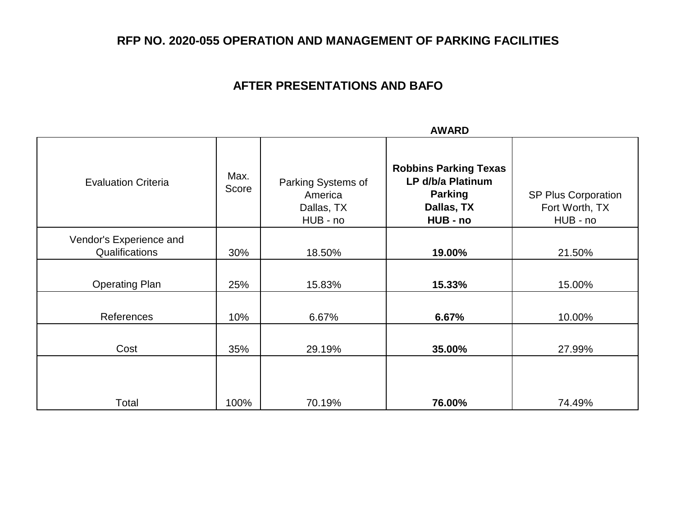## **AFTER PRESENTATIONS AND BAFO**

|                                           |               | <b>AWARD</b>                                            |                                                                                               |                                                          |
|-------------------------------------------|---------------|---------------------------------------------------------|-----------------------------------------------------------------------------------------------|----------------------------------------------------------|
| <b>Evaluation Criteria</b>                | Max.<br>Score | Parking Systems of<br>America<br>Dallas, TX<br>HUB - no | <b>Robbins Parking Texas</b><br>LP d/b/a Platinum<br><b>Parking</b><br>Dallas, TX<br>HUB - no | <b>SP Plus Corporation</b><br>Fort Worth, TX<br>HUB - no |
| Vendor's Experience and<br>Qualifications | 30%           | 18.50%                                                  | 19.00%                                                                                        | 21.50%                                                   |
| <b>Operating Plan</b>                     | 25%           | 15.83%                                                  | 15.33%                                                                                        | 15.00%                                                   |
| References                                | 10%           | 6.67%                                                   | 6.67%                                                                                         | 10.00%                                                   |
| Cost                                      | 35%           | 29.19%                                                  | 35.00%                                                                                        | 27.99%                                                   |
| Total                                     | 100%          | 70.19%                                                  | 76.00%                                                                                        | 74.49%                                                   |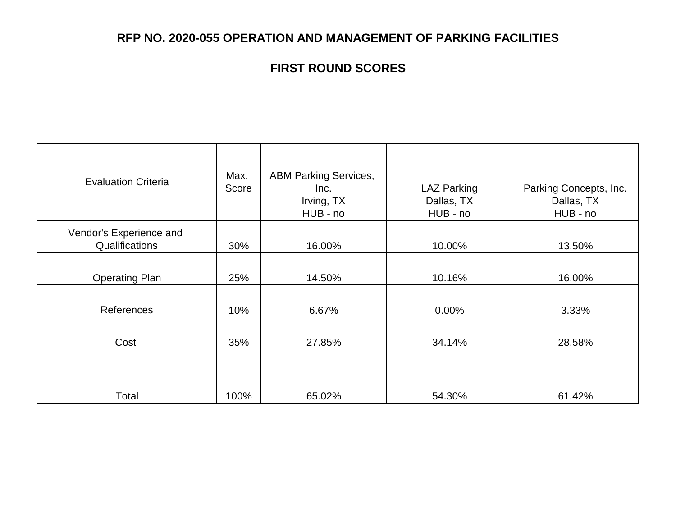# **FIRST ROUND SCORES**

| <b>Evaluation Criteria</b>                | Max.<br>Score | <b>ABM Parking Services,</b><br>Inc.<br>Irving, TX<br>HUB - no | <b>LAZ Parking</b><br>Dallas, TX<br>HUB - no | Parking Concepts, Inc.<br>Dallas, TX<br>HUB - no |
|-------------------------------------------|---------------|----------------------------------------------------------------|----------------------------------------------|--------------------------------------------------|
| Vendor's Experience and<br>Qualifications | 30%           | 16.00%                                                         | 10.00%                                       | 13.50%                                           |
| <b>Operating Plan</b>                     | 25%           | 14.50%                                                         | 10.16%                                       | 16.00%                                           |
| References                                | 10%           | 6.67%                                                          | 0.00%                                        | 3.33%                                            |
| Cost                                      | 35%           | 27.85%                                                         | 34.14%                                       | 28.58%                                           |
|                                           |               |                                                                |                                              |                                                  |
| Total                                     | 100%          | 65.02%                                                         | 54.30%                                       | 61.42%                                           |